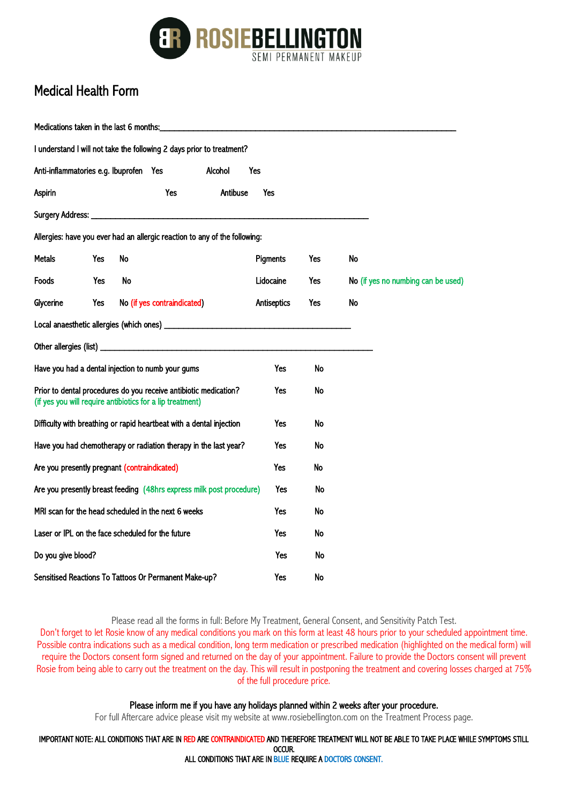

## Medical Health Form

 $\mathbf{r}$  and  $\mathbf{r}$ 

| Medications taken in the last 6 months:           |                                                   |                                                                                                                               |             |     |                                    |
|---------------------------------------------------|---------------------------------------------------|-------------------------------------------------------------------------------------------------------------------------------|-------------|-----|------------------------------------|
|                                                   |                                                   | I understand I will not take the following 2 days prior to treatment?                                                         |             |     |                                    |
|                                                   |                                                   | Anti-inflammatories e.g. Ibuprofen Yes<br>Alcohol                                                                             | Yes         |     |                                    |
| Aspirin                                           |                                                   | Antibuse<br>Yes                                                                                                               | Yes         |     |                                    |
|                                                   |                                                   |                                                                                                                               |             |     |                                    |
|                                                   |                                                   | Allergies: have you ever had an allergic reaction to any of the following:                                                    |             |     |                                    |
| Metals                                            | Yes                                               | No                                                                                                                            | Pigments    | Yes | No                                 |
| Foods                                             | Yes                                               | No                                                                                                                            | Lidocaine   | Yes | No (if yes no numbing can be used) |
| Glycerine                                         | Yes                                               | No (if yes contraindicated)                                                                                                   | Antiseptics | Yes | No                                 |
|                                                   |                                                   |                                                                                                                               |             |     |                                    |
|                                                   |                                                   |                                                                                                                               |             |     |                                    |
| Have you had a dental injection to numb your gums |                                                   |                                                                                                                               | Yes         | No  |                                    |
|                                                   |                                                   | Prior to dental procedures do you receive antibiotic medication?<br>(if yes you will require antibiotics for a lip treatment) | Yes         | No  |                                    |
|                                                   |                                                   | Difficulty with breathing or rapid heartbeat with a dental injection                                                          | Yes         | No  |                                    |
|                                                   |                                                   | Have you had chemotherapy or radiation therapy in the last year?                                                              | Yes         | No  |                                    |
|                                                   |                                                   | Are you presently pregnant (contraindicated)                                                                                  | Yes         | No  |                                    |
|                                                   |                                                   | Are you presently breast feeding (48hrs express milk post procedure)                                                          | Yes         | No  |                                    |
|                                                   |                                                   | MRI scan for the head scheduled in the next 6 weeks                                                                           | Yes         | No  |                                    |
|                                                   | Laser or IPL on the face scheduled for the future | Yes                                                                                                                           | No          |     |                                    |
| Do you give blood?                                |                                                   |                                                                                                                               | Yes         | No  |                                    |
|                                                   |                                                   | Sensitised Reactions To Tattoos Or Permanent Make-up?                                                                         | Yes         | No  |                                    |

Please read all the forms in full: Before My Treatment, General Consent, and Sensitivity Patch Test.

Don't forget to let Rosie know of any medical conditions you mark on this form at least 48 hours prior to your scheduled appointment time. Possible contra indications such as a medical condition, long term medication or prescribed medication (highlighted on the medical form) will require the Doctors consent form signed and returned on the day of your appointment. Failure to provide the Doctors consent will prevent Rosie from being able to carry out the treatment on the day. This will result in postponing the treatment and covering losses charged at 75% of the full procedure price.

## Please inform me if you have any holidays planned within 2 weeks after your procedure.

For full Aftercare advice please visit my website at www.rosiebellington.com on the Treatment Process page.

IMPORTANT NOTE: ALL CONDITIONS THAT ARE IN RED ARE CONTRAINDICATED AND THEREFORE TREATMENT WILL NOT BE ABLE TO TAKE PLACE WHILE SYMPTOMS STILL OCCUR.

ALL CONDITIONS THAT ARE IN BLUE REQUIRE A DOCTORS CONSENT.